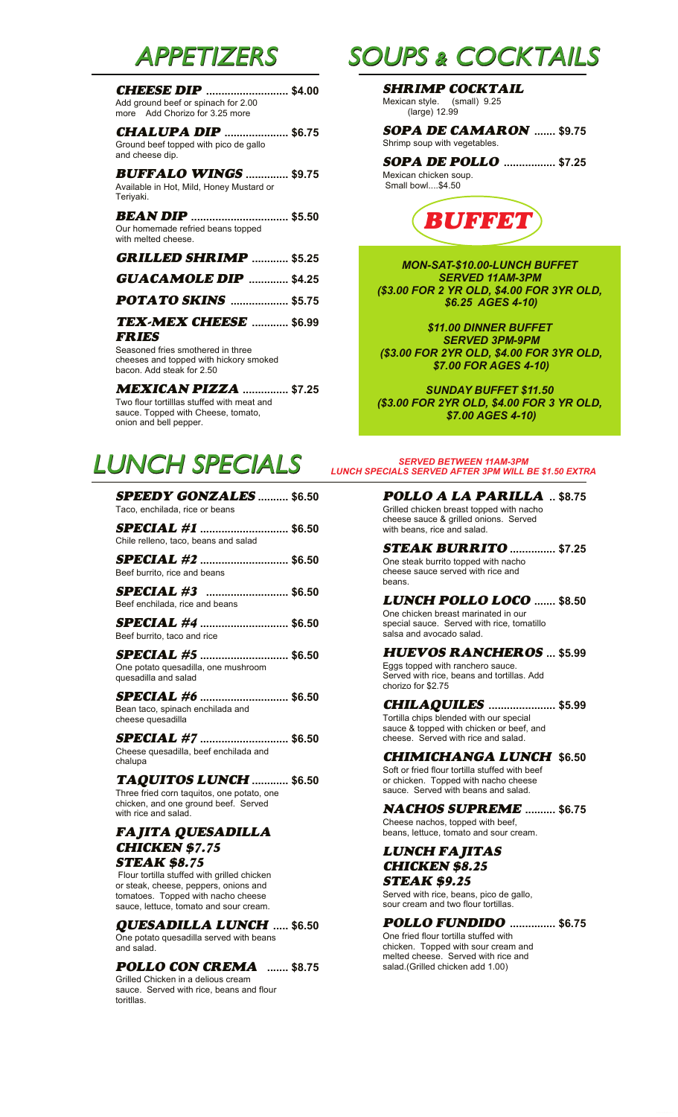### APPETIZERS

| <b>CHEESE DIP</b> \$4.00<br>Add ground beef or spinach for 2.00<br>more Add Chorizo for 3.25 more |  |
|---------------------------------------------------------------------------------------------------|--|
| <b>CHALUPA DIP </b> \$6.75<br>Ground beef topped with pico de gallo<br>and cheese dip.            |  |
| <b>BUFFALO WINGS  \$9.75</b><br>Available in Hot, Mild, Honey Mustard or<br>Teriyaki.             |  |
| <b>BEAN DIP</b> \$5.50<br>Our homemade refried beans topped<br>with melted cheese.                |  |
| <b>GRILLED SHRIMP  \$5.25</b>                                                                     |  |
| <b>GUACAMOLE DIP </b> \$4.25                                                                      |  |

**POTATO SKINS ................... \$5.75**

#### **TEX-MEX CHEESE ............ \$6.99 FRIES**

Seasoned fries smothered in three cheeses and topped with hickory smoked bacon. Add steak for 2.50

**MEXICAN PIZZA ............... \$7.25** Two flour tortilllas stuffed with meat and sauce. Topped with Cheese, tomato, onion and bell pepper.

## LUNCH SPECIALS

| <b>SPEEDY GONZALES</b> \$6.50<br>Taco, enchilada, rice or beans                                                                                                                             | <b>POLLO A LA PARILLA</b> \$8.75<br>Grilled chicken breast topped with nacho<br>cheese sauce & grilled onions. Served                                   |
|---------------------------------------------------------------------------------------------------------------------------------------------------------------------------------------------|---------------------------------------------------------------------------------------------------------------------------------------------------------|
| <b>SPECIAL</b> #1  \$6.50<br>Chile relleno, taco, beans and salad                                                                                                                           | with beans, rice and salad.                                                                                                                             |
| <b>SPECIAL</b> #2  \$6.50<br>Beef burrito, rice and beans                                                                                                                                   | <b>STEAK BURRITO </b> \$7.25<br>One steak burrito topped with nacho<br>cheese sauce served with rice and<br>beans.                                      |
| <b>SPECIAL #3</b> \$6.50<br>Beef enchilada, rice and beans<br><b>SPECIAL</b> #4  \$6.50                                                                                                     | <b>LUNCH POLLO LOCO  \$8.50</b><br>One chicken breast marinated in our<br>special sauce. Served with rice, tomatillo                                    |
| Beef burrito, taco and rice                                                                                                                                                                 | salsa and avocado salad.                                                                                                                                |
| <b>SPECIAL</b> #5  \$6.50<br>One potato quesadilla, one mushroom<br>quesadilla and salad                                                                                                    | <b>HUEVOS RANCHEROS  \$5.99</b><br>Eggs topped with ranchero sauce.<br>Served with rice, beans and tortillas. Add<br>chorizo for \$2.75                 |
| <b>SPECIAL</b> #6  \$6.50<br>Bean taco, spinach enchilada and<br>cheese quesadilla                                                                                                          | <b>CHILAQUILES</b> \$5.99<br>Tortilla chips blended with our special<br>sauce & topped with chicken or beef, and<br>cheese. Served with rice and salad. |
| <b>SPECIAL</b> #7  \$6.50<br>Cheese quesadilla, beef enchilada and<br>chalupa                                                                                                               | <b>CHIMICHANGA LUNCH \$6.50</b><br>Soft or fried flour tortilla stuffed with beef                                                                       |
| TAQUITOS LUNCH  \$6.50<br>Three fried corn taquitos, one potato, one                                                                                                                        | or chicken. Topped with nacho cheese<br>sauce. Served with beans and salad.                                                                             |
| chicken, and one ground beef. Served<br>with rice and salad.                                                                                                                                | <b>NACHOS SUPREME  \$6.75</b><br>Cheese nachos, topped with beef,                                                                                       |
| FAJITA QUESADILLA<br><b>CHICKEN \$7.75</b>                                                                                                                                                  | beans, lettuce, tomato and sour cream.                                                                                                                  |
| <b>STEAK \$8.75</b><br>Flour tortilla stuffed with grilled chicken<br>or steak, cheese, peppers, onions and<br>tomatoes. Topped with nacho cheese<br>sauce, lettuce, tomato and sour cream. | <b>LUNCH FAJITAS</b><br><b>CHICKEN \$8.25</b><br><b>STEAK \$9.25</b><br>Served with rice, beans, pico de gallo,<br>sour cream and two flour tortillas.  |
| <b>QUESADILLA LUNCH  \$6.50</b>                                                                                                                                                             | POLLO FUNDIDO  \$6.75<br>$\bigcap$ na friad flaur tartilla atuffad with                                                                                 |

One potato quesadilla served with beans and salad.

#### **POLLO CON CREMA ....... \$8.75**

Grilled Chicken in a delious cream sauce. Served with rice, beans and flour toritllas.

## SOUPS & COCKTAILS

**SHRIMP COCKTAIL** Mexican style. (small) 9.25 (large) 12.99

**SOPA DE CAMARON ....... \$9.75** Shrimp soup with vegetables.

**SOPA DE POLLO ................. \$7.25** Mexican chicken soup. Small bowl....\$4.50



*MON-SAT-\$10.00-LUNCH BUFFET SERVED 11AM-3PM (\$3.00 FOR 2 YR OLD, \$4.00 FOR 3YR OLD, \$6.25 AGES 4-10)*

*\$11.00 DINNER BUFFET SERVED 3PM-9PM (\$3.00 FOR 2YR OLD, \$4.00 FOR 3YR OLD, \$7.00 FOR AGES 4-10)*

*SUNDAY BUFFET \$11.50 (\$3.00 FOR 2YR OLD, \$4.00 FOR 3 YR OLD, \$7.00 AGES 4-10)*

#### *SERVED BETWEEN 11AM-3PM LUNCH SPECIALS SERVED AFTER 3PM WILL BE \$1.50 EXTRA*

One fried flour tortilla stuffed with chicken. Topped with sour cream and melted cheese. Served with rice and salad.(Grilled chicken add 1.00)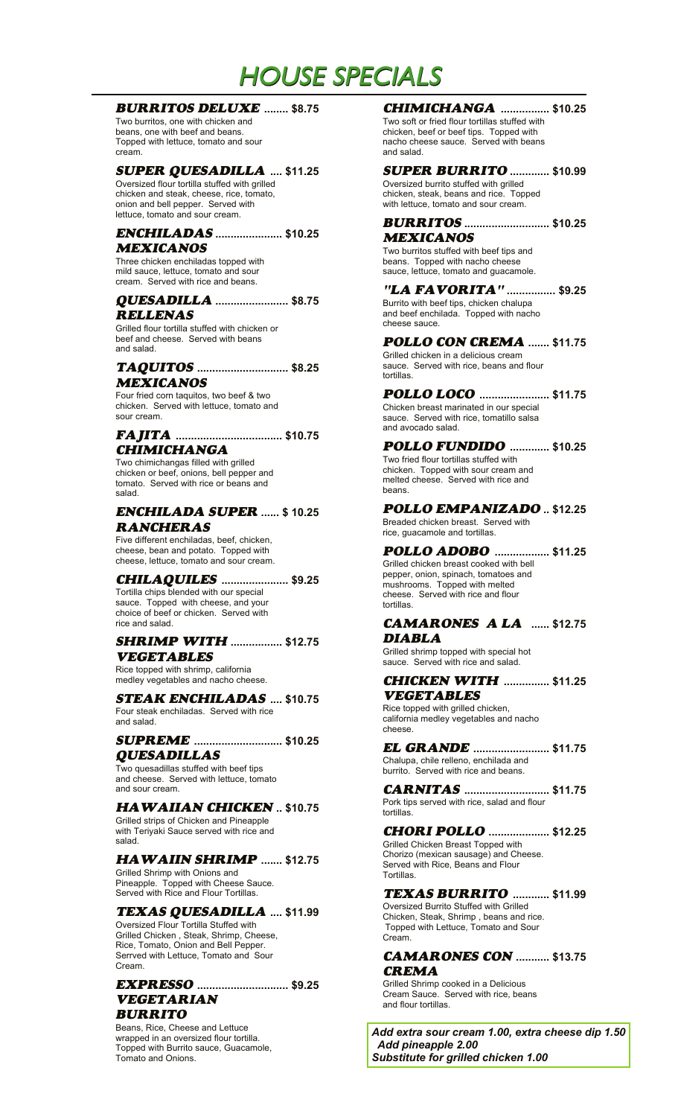## HOUSE SPECIALS

#### **BURRITOS DELUXE ........ \$8.75**

Two burritos, one with chicken and beans, one with beef and beans. Topped with lettuce, tomato and sour cream.

#### **SUPER QUESADILLA** .... \$11.25

Oversized flour tortilla stuffed with grilled chicken and steak, cheese, rice, tomato, onion and bell pepper. Served with lettuce, tomato and sour cream.

#### **ENCHILADAS ...................... \$10.25 MEXICANOS**

Three chicken enchiladas topped with mild sauce, lettuce, tomato and sour cream. Served with rice and beans.

#### **QUESADILLA ........................ \$8.75 RELLENAS**

Grilled flour tortilla stuffed with chicken or beef and cheese. Served with beans and salad.

#### **TAQUITOS .............................. \$8.25 MEXICANOS**

Four fried corn taquitos, two beef & two chicken. Served with lettuce, tomato and sour cream.

#### **FAJITA ................................... \$10.75 CHIMICHANGA**

Two chimichangas filled with grilled chicken or beef, onions, bell pepper and tomato. Served with rice or beans and salad.

### **RANCHERAS**

Five different enchiladas, beef, chicken, cheese, bean and potato. Topped with cheese, lettuce, tomato and sour cream.

**CHILAQUILES ...................... \$9.25** Tortilla chips blended with our special sauce. Topped with cheese, and your choice of beef or chicken. Served with rice and salad.

#### **SHRIMP WITH ................. \$12.75 VEGETABLES**

Rice topped with shrimp, california medley vegetables and nacho cheese.

#### **STEAK ENCHILADAS .... \$10.75** Four steak enchiladas. Served with rice

and salad.

#### **SUPREME ............................. \$10.25 EL GRANDE QUESADILLAS**

Two quesadillas stuffed with beef tips and cheese. Served with lettuce, tomato and sour cream.

#### **HAWAIIAN CHICKEN .. \$10.75**

Grilled strips of Chicken and Pineapple with Teriyaki Sauce served with rice and salad.

#### **HAWAIIN SHRIMP ....... \$12.75**

Grilled Shrimp with Onions and Pineapple. Topped with Cheese Sauce. Served with Rice and Flour Tortillas.

#### **TEXAS QUESADILLA .... \$11.99**

Oversized Flour Tortilla Stuffed with Grilled Chicken , Steak, Shrimp, Cheese, Rice, Tomato, Onion and Bell Pepper. Serrved with Lettuce, Tomato and Sour Cream.

#### **EXPRESSO .............................. \$9.25VEGETARIAN BURRITO**

Beans, Rice, Cheese and Lettuce wrapped in an oversized flour tortilla. Topped with Burrito sauce, Guacamole, Tomato and Onions.

#### **........ \$8.75 CHIMICHANGA ................ \$10.25**

Two soft or fried flour tortillas stuffed with chicken, beef or beef tips. Topped with nacho cheese sauce. Served with beans and salad.

#### **.... \$11.25 SUPER BURRITO ............. \$10.99**

Oversized burrito stuffed with grilled chicken, steak, beans and rice. Topped with lettuce, tomato and sour cream.

**BURRITOS ............................ \$10.25 MEXICANOS**

Two burritos stuffed with beef tips and beans. Topped with nacho cheese sauce, lettuce, tomato and guacamole.

**"LA FAVORITA" ................ \$9.25** Burrito with beef tips, chicken chalupa and beef enchilada. Topped with nacho cheese sauce.

**POLLO CON CREMA ....... \$11.75** Grilled chicken in a delicious cream sauce. Served with rice, beans and flour tortillas.

**POLLO LOCO ....................... \$11.75** Chicken breast marinated in our special sauce. Served with rice, tomatillo salsa and avocado salad.

**POLLO FUNDIDO ............. \$10.25** Two fried flour tortillas stuffed with chicken. Topped with sour cream and melted cheese. Served with rice and beans.

**POLLO EMPANIZADO** Breaded chicken breast. Served with **ENCHILADA SUPER .. \$12.25 ...... \$ 10.25**

rice, guacamole and tortillas. **POLLO ADOBO .................. \$11.25**

Grilled chicken breast cooked with bell pepper, onion, spinach, tomatoes and mushrooms. Topped with melted cheese. Served with rice and flour tortillas.

#### **CAMARONES A LA ...... \$12.75 DIABLA**

Grilled shrimp topped with special hot sauce. Served with rice and salad.

#### **CHICKEN WITH ............... \$11.25 VEGETABLES**

Rice topped with grilled chicken, california medley vegetables and nacho cheese.

Chalupa, chile relleno, enchilada and burrito. Served with rice and beans. *EL GRANDE .......................***... \$11.75** 

**CARNITAS ............................ \$11.75** Pork tips served with rice, salad and flour

#### **CHORI POLLO .................... \$12.25**

Grilled Chicken Breast Topped with Chorizo (mexican sausage) and Cheese. Served with Rice, Beans and Flour Tortillas.

tortillas.

#### **TEXAS BURRITO ............ \$11.99**

Oversized Burrito Stuffed with Grilled Chicken, Steak, Shrimp , beans and rice. Topped with Lettuce, Tomato and Sour Cream.

#### **CAMARONES CON ........... \$13.75 CREMA**

Grilled Shrimp cooked in a Delicious Cream Sauce. Served with rice, beans and flour tortillas.

*Add extra sour cream 1.00, extra cheese dip 1.50 Add pineapple 2.00 Substitute for grilled chicken 1.00*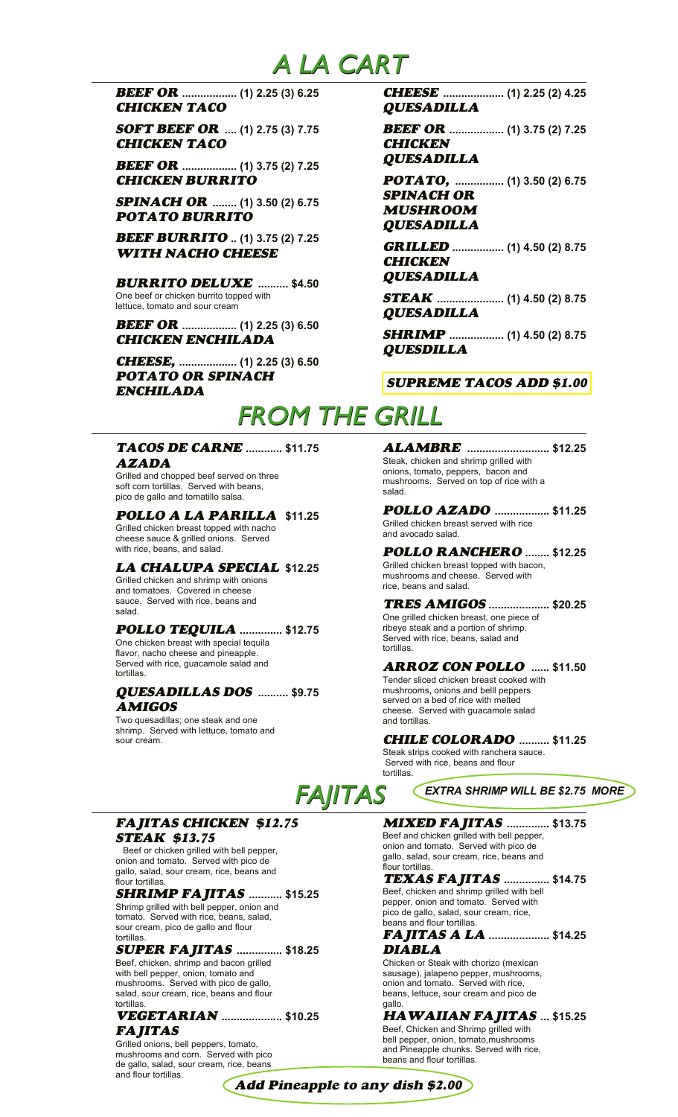### A LA CART

**BEEF OR .................. (1) 2.25 (3) 6.25 CHEESE CHICKEN TACO**

**SOFT BEEF OR .... (1) 2.75 (3) 7.75 BEEF OR CHICKEN TACO**

**BEEF OR .................. (1) 3.75 (2) 7.25 CHICKEN BURRITO** 

**SPINACH OR ........ (1) 3.50 (2) 6.75 POTATO BURRITO**

**BEEF BURRITO .. (1) 3.75 (2) 7.25 GRILLED WITH NACHO CHEESE**

**BURRITO DELUXE .......... \$4.50** One beef or chicken burrito topped with lettuce, tomato and sour cream

**BEEF OR .................. (1) 2.25 (3) 6.50 CHICKEN ENCHILADA**

**CHEESE, ................... (1) 2.25 (3) 6.50 POTATO OR SPINACH ENCHILADA**

**QUESADILLA .................... (1) 2.25 (2) 4.25**

**CHICKEN** *BEEF OR ..................* **(1) 3.75 (2) 7.25** 

**QUESADILLA**

**POTATO, ................ (1) 3.50 (2) 6.75 SPINACH OR MUSHROOM QUESADILLA**

**CHICKEN ................. (1) 4.50 (2) 8.75**

#### **QUESADILLA**

**STEAK ...................... (1) 4.50 (2) 8.75 QUESADILLA**

**SHRIMP .................. (1) 4.50 (2) 8.75 QUESDILLA**

#### **SUPREME TACOS ADD \$1.00**

# FROM THE GRILL

#### **TACOS DE CARNE AZADA**

Grilled and chopped beef served on three soft corn tortillas. Served with beans, pico de gallo and tomatillo salsa.

Grilled chicken breast topped with nacho cheese sauce & grilled onions. Served with rice, beans, and salad.

#### **LA CHALUPA SPECIAL \$12.25**

Grilled chicken and shrimp with onions and tomatoes. Covered in cheese sauce. Served with rice, beans and salad.

#### **POLLO TEQUILA .............. \$12.75**

One chicken breast with special tequila flavor, nacho cheese and pineapple. Served with rice, guacamole salad and tortillas.

#### **QUESADILLAS DOS .......... \$9.75 AMIGOS**

Two quesadillas; one steak and one shrimp. Served with lettuce, tomato and sour cream.

**............ \$11.75 ALAMBRE ........................... \$12.25** Steak, chicken and shrimp grilled with onions, tomato, peppers, bacon and mushrooms. Served on top of rice with a salad.

#### **POLLO AZADO** Grilled chicken breast served with rice and avocado salad. **POLLO A LA PARILLA .................. \$11.25 \$11.25**

**POLLO RANCHERO ........ \$12.25** Grilled chicken breast topped with bacon, mushrooms and cheese. Served with rice, beans and salad.

**TRES AMIGOS .................... \$20.25** One grilled chicken breast, one piece of ribeye steak and a portion of shrimp. Served with rice, beans, salad and tortillas.

#### **ARROZ CON POLLO ...... \$11.50**

Tender sliced chicken breast cooked with mushrooms, onions and belll peppers served on a bed of rice with melted cheese. Served with guacamole salad and tortillas.

#### **CHILE COLORADO .......... \$11.25**

Steak strips cooked with ranchera sauce. Served with rice, beans and flour tortillas.

*EXTRA SHRIMP WILL BE \$2.75 MORE*

# FAJITAS

#### **FAJITAS CHICKEN \$12.75 STEAK \$13.75**

 Beef or chicken grilled with bell pepper, onion and tomato. Served with pico de gallo, salad, sour cream, rice, beans and flour tortillas

#### **SHRIMP FAJITAS ........... \$15.25**

Shrimp grilled with bell pepper, onion and tomato. Served with rice, beans, salad, sour cream, pico de gallo and flour tortillas.

#### **SUPER FAJITAS ............... \$18.25**

Beef, chicken, shrimp and bacon grilled with bell pepper, onion, tomato and mushrooms. Served with pico de gallo, salad, sour cream, rice, beans and flour tortillas

#### **VEGETARIAN** ..................... \$10.25 **FAJITAS**

Grilled onions, bell peppers, tomato, mushrooms and corn. Served with pico de gallo, salad, sour cream, rice, beans and flour tortillas.

**MIXED FAJITAS .............. \$13.75**

Beef and chicken grilled with bell pepper, onion and tomato. Served with pico de gallo, salad, sour cream, rice, beans and flour tortillas.

#### **TEXAS FAJITAS ............... \$14.75** Beef, chicken and shrimp grilled with bell

pepper, onion and tomato. Served with pico de gallo, salad, sour cream, rice, beans and flour tortillas. **FAJITAS A LA .................... \$14.25**

### **DIABLA**

Chicken or Steak with chorizo (mexican sausage), jalapeno pepper, mushrooms, onion and tomato. Served with rice, beans, lettuce, sour cream and pico de gallo.

### **.................... \$10.25 HAWAIIAN FAJITAS ... \$15.25**

Beef, Chicken and Shrimp grilled with bell pepper, onion, tomato, mushrooms and Pineapple chunks. Served with rice, beans and flour tortillas.

**Add Pineapple to any dish \$2.00**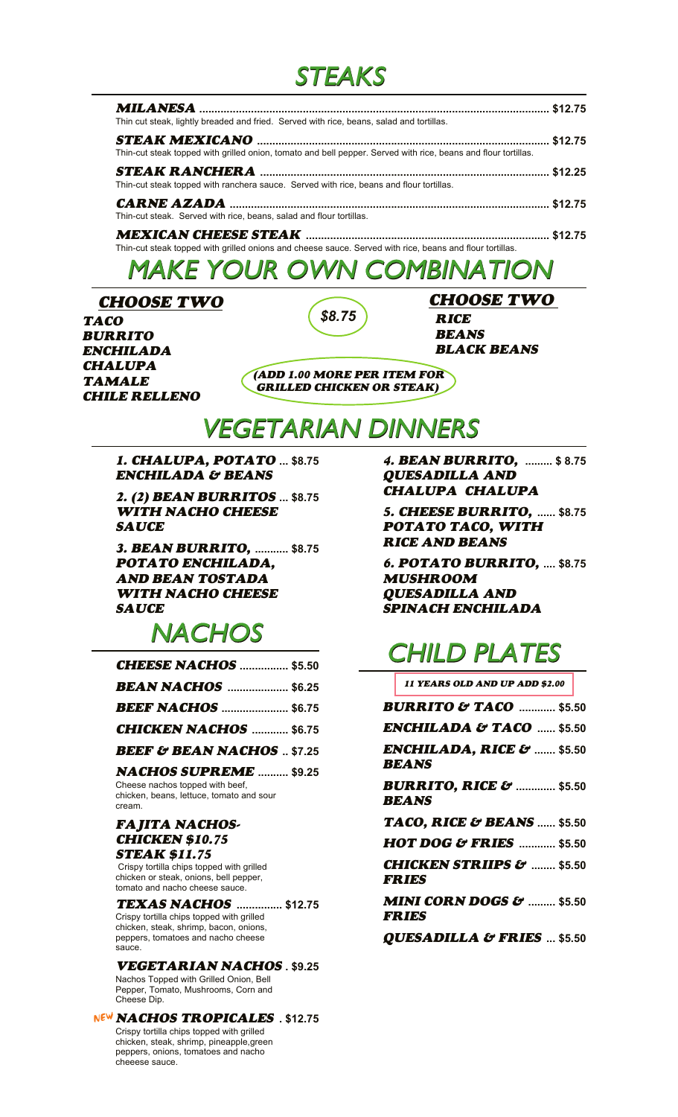### STEAKS

| Thin cut steak, lightly breaded and fried. Served with rice, beans, salad and tortillas.                       |  |
|----------------------------------------------------------------------------------------------------------------|--|
|                                                                                                                |  |
| Thin-cut steak topped with grilled onion, tomato and bell pepper. Served with rice, beans and flour tortillas. |  |
|                                                                                                                |  |
| Thin-cut steak topped with ranchera sauce. Served with rice, beans and flour tortillas.                        |  |
|                                                                                                                |  |
| Thin-cut steak. Served with rice, beans, salad and flour tortillas.                                            |  |

**MEXICAN CHEESE STEAK ................................................................................ \$12.75** Thin-cut steak topped with grilled onions and cheese sauce. Served with rice, beans and flour tortillas.

### MAKE YOUR OWN COMBINATION

**TACO** *\$8.75* **BURRITO ENCHILADA CHALUPA TAMALE CHILE RELLENO CHOOSE TWO CHOOSE TWO** 

**RICE BEANS BLACK BEANS**

**(ADD 1.00 MORE PER ITEM FOR GRILLED CHICKEN OR STEAK)**

### VEGETARIAN DINNERS

**1. CHALUPA, POTATO ENCHILADA & BEANS**

**2. (2) BEAN BURRITOS ... \$8.75 WITH NACHO CHEESE SAUCE**

**3. BEAN BURRITO, ........... \$8.75 POTATO ENCHILADA, AND BEAN TOSTADA WITH NACHO CHEESE SAUCE**

# **NACHOS**

| <b>CHEESE NACHOS</b> \$5.50          |  |
|--------------------------------------|--|
| <b>BEAN NACHOS</b> \$6.25            |  |
| <b>BEEF NACHOS</b> \$6.75            |  |
| <b>CHICKEN NACHOS</b> \$6.75         |  |
| <b>BEEF &amp; BEAN NACHOS</b> \$7.25 |  |
| <b>NACHOS SUPREME</b> \$9.25         |  |

Cheese nachos topped with beef, chicken, beans, lettuce, tomato and sour cream.

#### **FAJITA NACHOS-CHICKEN \$10.75 STEAK \$11.75**

 Crispy tortilla chips topped with grilled chicken or steak, onions, bell pepper, tomato and nacho cheese sauce.

**TEXAS NACHOS ............... \$12.75** Crispy tortilla chips topped with grilled chicken, steak, shrimp, bacon, onions, peppers, tomatoes and nacho cheese sauce.

**VEGETARIAN NACHOS . \$9.25**

Nachos Topped with Grilled Onion, Bell Pepper, Tomato, Mushrooms, Corn and Cheese Dip.

C**NACHOS TROPICALES . \$12.75** Crispy tortilla chips topped with grilled chicken, steak, shrimp, pineapple,green peppers, onions, tomatoes and nacho cheeese sauce.

**... \$8.75 4. BEAN BURRITO, ......... \$ 8.75 QUESADILLA AND CHALUPA CHALUPA**

> **5. CHEESE BURRITO, ...... \$8.75 POTATO TACO, WITH RICE AND BEANS**

> **6. POTATO BURRITO, .... \$8.75 MUSHROOM QUESADILLA AND SPINACH ENCHILADA**

# CHILD PLATES

| <b>11 YEARS OLD AND UP ADD \$2.00</b>                             |  |
|-------------------------------------------------------------------|--|
| <b>BURRITO &amp; TACO</b> \$5.50                                  |  |
| $\pmb{ENCHILADA\ &\textbf{TACO}\ \dots\ \$5.50}$                  |  |
| ENCHILADA, RICE &  \$5.50<br>BEANS                                |  |
| <b>BURRITO, RICE &amp; </b> \$5.50<br>BEANS                       |  |
| TACO, RICE & BEANS  \$5.50                                        |  |
| <b>HOT DOG &amp; FRIES</b> \$5.50                                 |  |
| <b>CHICKEN STRIIPS <math>\mathcal{E}'</math>  \$5.50</b><br>FRIES |  |
| <b>MINI CORN DOGS &amp;  \$5.50</b><br>FRIES                      |  |
| $ATIRC$ $ATITL$ $A$ $C$ $TIDITC$ $A E C$                          |  |

**QUESADILLA & FRIES ... \$5.50**